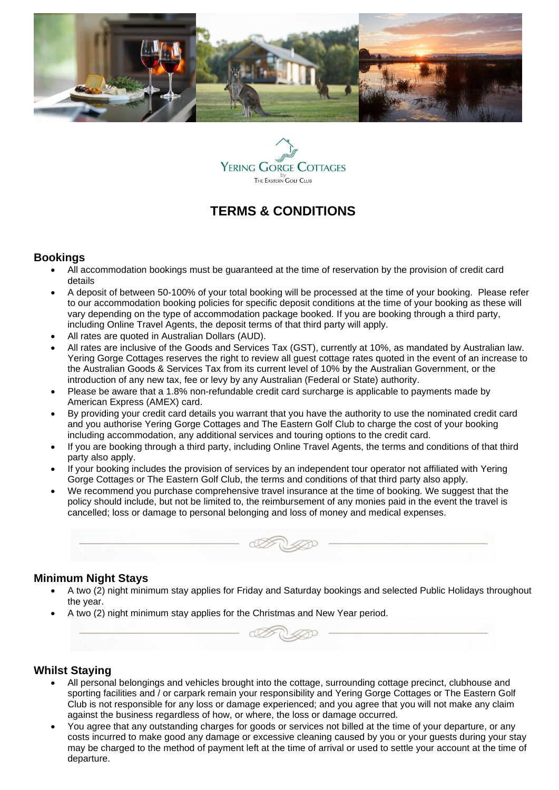



# **TERMS & CONDITIONS**

#### **Bookings**

- All accommodation bookings must be guaranteed at the time of reservation by the provision of credit card details
- A deposit of between 50-100% of your total booking will be processed at the time of your booking. Please refer to our accommodation booking policies for specific deposit conditions at the time of your booking as these will vary depending on the type of accommodation package booked. If you are booking through a third party, including Online Travel Agents, the deposit terms of that third party will apply.
- All rates are quoted in Australian Dollars (AUD).
- All rates are inclusive of the Goods and Services Tax (GST), currently at 10%, as mandated by Australian law. Yering Gorge Cottages reserves the right to review all guest cottage rates quoted in the event of an increase to the Australian Goods & Services Tax from its current level of 10% by the Australian Government, or the introduction of any new tax, fee or levy by any Australian (Federal or State) authority.
- Please be aware that a 1.8% non-refundable credit card surcharge is applicable to payments made by American Express (AMEX) card.
- By providing your credit card details you warrant that you have the authority to use the nominated credit card and you authorise Yering Gorge Cottages and The Eastern Golf Club to charge the cost of your booking including accommodation, any additional services and touring options to the credit card.
- If you are booking through a third party, including Online Travel Agents, the terms and conditions of that third party also apply.
- If your booking includes the provision of services by an independent tour operator not affiliated with Yering Gorge Cottages or The Eastern Golf Club, the terms and conditions of that third party also apply.
- We recommend you purchase comprehensive travel insurance at the time of booking. We suggest that the policy should include, but not be limited to, the reimbursement of any monies paid in the event the travel is cancelled; loss or damage to personal belonging and loss of money and medical expenses.



#### **Minimum Night Stays**

- A two (2) night minimum stay applies for Friday and Saturday bookings and selected Public Holidays throughout the year.
- A two (2) night minimum stay applies for the Christmas and New Year period.



# **Whilst Staying**

- All personal belongings and vehicles brought into the cottage, surrounding cottage precinct, clubhouse and sporting facilities and / or carpark remain your responsibility and Yering Gorge Cottages or The Eastern Golf Club is not responsible for any loss or damage experienced; and you agree that you will not make any claim against the business regardless of how, or where, the loss or damage occurred.
- You agree that any outstanding charges for goods or services not billed at the time of your departure, or any costs incurred to make good any damage or excessive cleaning caused by you or your guests during your stay may be charged to the method of payment left at the time of arrival or used to settle your account at the time of departure.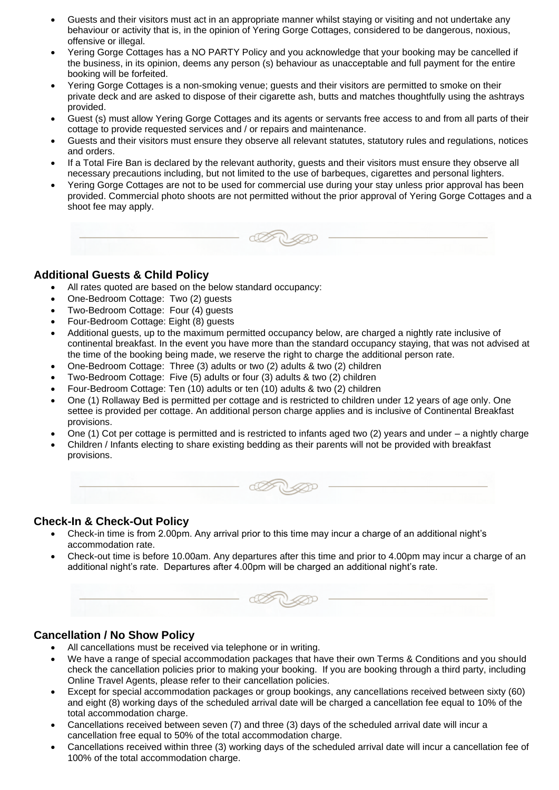- Guests and their visitors must act in an appropriate manner whilst staying or visiting and not undertake any behaviour or activity that is, in the opinion of Yering Gorge Cottages, considered to be dangerous, noxious, offensive or illegal.
- Yering Gorge Cottages has a NO PARTY Policy and you acknowledge that your booking may be cancelled if the business, in its opinion, deems any person (s) behaviour as unacceptable and full payment for the entire booking will be forfeited.
- Yering Gorge Cottages is a non-smoking venue; guests and their visitors are permitted to smoke on their private deck and are asked to dispose of their cigarette ash, butts and matches thoughtfully using the ashtrays provided.
- Guest (s) must allow Yering Gorge Cottages and its agents or servants free access to and from all parts of their cottage to provide requested services and / or repairs and maintenance.
- Guests and their visitors must ensure they observe all relevant statutes, statutory rules and regulations, notices and orders.
- If a Total Fire Ban is declared by the relevant authority, guests and their visitors must ensure they observe all necessary precautions including, but not limited to the use of barbeques, cigarettes and personal lighters.
- Yering Gorge Cottages are not to be used for commercial use during your stay unless prior approval has been provided. Commercial photo shoots are not permitted without the prior approval of Yering Gorge Cottages and a shoot fee may apply.



# **Additional Guests & Child Policy**

- All rates quoted are based on the below standard occupancy:
- One-Bedroom Cottage: Two (2) guests
- Two-Bedroom Cottage: Four (4) guests
- Four-Bedroom Cottage: Eight (8) guests
- Additional guests, up to the maximum permitted occupancy below, are charged a nightly rate inclusive of continental breakfast. In the event you have more than the standard occupancy staying, that was not advised at the time of the booking being made, we reserve the right to charge the additional person rate.
- One-Bedroom Cottage: Three (3) adults or two (2) adults & two (2) children
- Two-Bedroom Cottage: Five (5) adults or four (3) adults & two (2) children
- Four-Bedroom Cottage: Ten (10) adults or ten (10) adults & two (2) children
- One (1) Rollaway Bed is permitted per cottage and is restricted to children under 12 years of age only. One settee is provided per cottage. An additional person charge applies and is inclusive of Continental Breakfast provisions.
- One (1) Cot per cottage is permitted and is restricted to infants aged two (2) years and under a nightly charge
- Children / Infants electing to share existing bedding as their parents will not be provided with breakfast provisions.



# **Check-In & Check-Out Policy**

- Check-in time is from 2.00pm. Any arrival prior to this time may incur a charge of an additional night's accommodation rate.
- Check-out time is before 10.00am. Any departures after this time and prior to 4.00pm may incur a charge of an additional night's rate. Departures after 4.00pm will be charged an additional night's rate.



# **Cancellation / No Show Policy**

- All cancellations must be received via telephone or in writing.
- We have a range of special accommodation packages that have their own Terms & Conditions and you should check the cancellation policies prior to making your booking. If you are booking through a third party, including Online Travel Agents, please refer to their cancellation policies.
- Except for special accommodation packages or group bookings, any cancellations received between sixty (60) and eight (8) working days of the scheduled arrival date will be charged a cancellation fee equal to 10% of the total accommodation charge.
- Cancellations received between seven (7) and three (3) days of the scheduled arrival date will incur a cancellation free equal to 50% of the total accommodation charge.
- Cancellations received within three (3) working days of the scheduled arrival date will incur a cancellation fee of 100% of the total accommodation charge.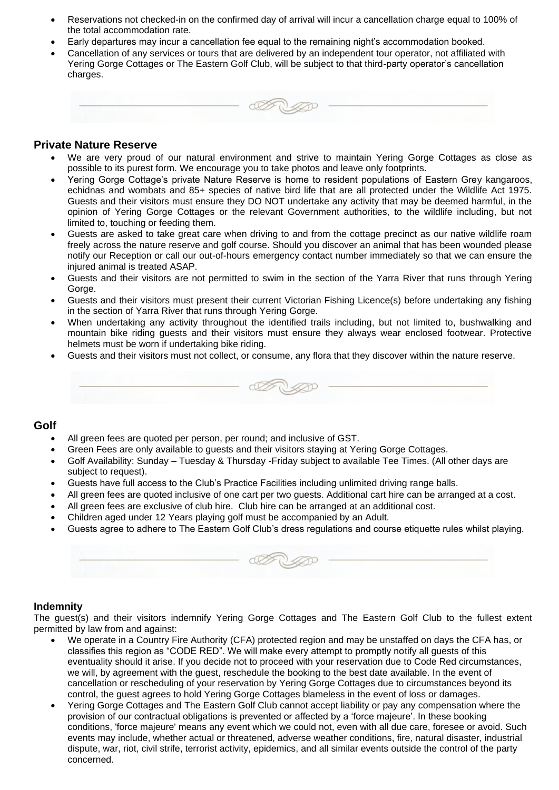- Reservations not checked-in on the confirmed day of arrival will incur a cancellation charge equal to 100% of the total accommodation rate.
- Early departures may incur a cancellation fee equal to the remaining night's accommodation booked.
- Cancellation of any services or tours that are delivered by an independent tour operator, not affiliated with Yering Gorge Cottages or The Eastern Golf Club, will be subject to that third-party operator's cancellation charges.



#### **Private Nature Reserve**

- We are very proud of our natural environment and strive to maintain Yering Gorge Cottages as close as possible to its purest form. We encourage you to take photos and leave only footprints.
- Yering Gorge Cottage's private Nature Reserve is home to resident populations of Eastern Grey kangaroos, echidnas and wombats and 85+ species of native bird life that are all protected under the Wildlife Act 1975. Guests and their visitors must ensure they DO NOT undertake any activity that may be deemed harmful, in the opinion of Yering Gorge Cottages or the relevant Government authorities, to the wildlife including, but not limited to, touching or feeding them.
- Guests are asked to take great care when driving to and from the cottage precinct as our native wildlife roam freely across the nature reserve and golf course. Should you discover an animal that has been wounded please notify our Reception or call our out-of-hours emergency contact number immediately so that we can ensure the injured animal is treated ASAP.
- Guests and their visitors are not permitted to swim in the section of the Yarra River that runs through Yering Gorge.
- Guests and their visitors must present their current Victorian Fishing Licence(s) before undertaking any fishing in the section of Yarra River that runs through Yering Gorge.
- When undertaking any activity throughout the identified trails including, but not limited to, bushwalking and mountain bike riding guests and their visitors must ensure they always wear enclosed footwear. Protective helmets must be worn if undertaking bike riding.
- Guests and their visitors must not collect, or consume, any flora that they discover within the nature reserve.



#### **Golf**

- All green fees are quoted per person, per round; and inclusive of GST.
- Green Fees are only available to guests and their visitors staying at Yering Gorge Cottages.
- Golf Availability: Sunday Tuesday & Thursday -Friday subject to available Tee Times. (All other days are subject to request).
- Guests have full access to the Club's Practice Facilities including unlimited driving range balls.
- All green fees are quoted inclusive of one cart per two guests. Additional cart hire can be arranged at a cost.
- All green fees are exclusive of club hire. Club hire can be arranged at an additional cost.
- Children aged under 12 Years playing golf must be accompanied by an Adult.
- Guests agree to adhere to The Eastern Golf Club's dress regulations and course etiquette rules whilst playing.

| $\mathcal{B}$<br>$0 \le 0$ |  |
|----------------------------|--|
|                            |  |

#### **Indemnity**

The guest(s) and their visitors indemnify Yering Gorge Cottages and The Eastern Golf Club to the fullest extent permitted by law from and against:

- We operate in a Country Fire Authority (CFA) protected region and may be unstaffed on days the CFA has, or classifies this region as "CODE RED". We will make every attempt to promptly notify all guests of this eventuality should it arise. If you decide not to proceed with your reservation due to Code Red circumstances, we will, by agreement with the guest, reschedule the booking to the best date available. In the event of cancellation or rescheduling of your reservation by Yering Gorge Cottages due to circumstances beyond its control, the guest agrees to hold Yering Gorge Cottages blameless in the event of loss or damages.
- Yering Gorge Cottages and The Eastern Golf Club cannot accept liability or pay any compensation where the provision of our contractual obligations is prevented or affected by a 'force majeure'. In these booking conditions, 'force majeure' means any event which we could not, even with all due care, foresee or avoid. Such events may include, whether actual or threatened, adverse weather conditions, fire, natural disaster, industrial dispute, war, riot, civil strife, terrorist activity, epidemics, and all similar events outside the control of the party concerned.